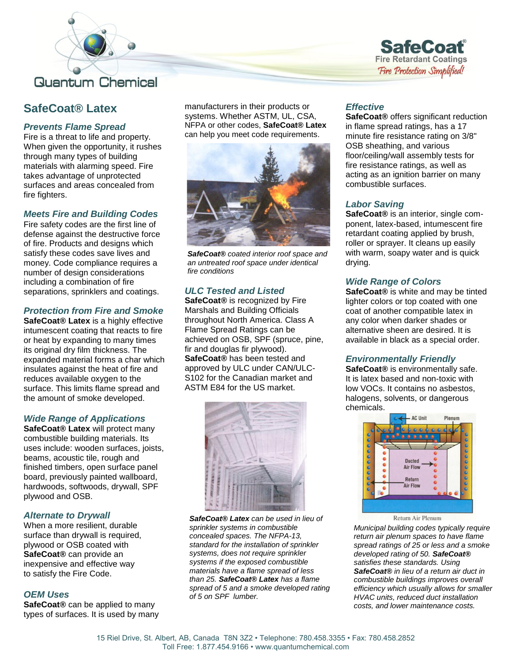



# **SafeCoat® Latex**

# *Prevents Flame Spread*

Fire is a threat to life and property. When given the opportunity, it rushes through many types of building materials with alarming speed. Fire takes advantage of unprotected surfaces and areas concealed from fire fighters.

## *Meets Fire and Building Codes*

Fire safety codes are the first line of defense against the destructive force of fire. Products and designs which satisfy these codes save lives and money. Code compliance requires a number of design considerations including a combination of fire separations, sprinklers and coatings.

## *Protection from Fire and Smoke*

**SafeCoat® Latex** is a highly effective intumescent coating that reacts to fire or heat by expanding to many times its original dry film thickness. The expanded material forms a char which insulates against the heat of fire and reduces available oxygen to the surface. This limits flame spread and the amount of smoke developed.

## *Wide Range of Applications*

**SafeCoat® Latex** will protect many combustible building materials. Its uses include: wooden surfaces, joists, beams, acoustic tile, rough and finished timbers, open surface panel board, previously painted wallboard, hardwoods, softwoods, drywall, SPF plywood and OSB.

## *Alternate to Drywall*

When a more resilient, durable surface than drywall is required, plywood or OSB coated with **SafeCoat®** can provide an inexpensive and effective way to satisfy the Fire Code.

## *OEM Uses*

**SafeCoat®** can be applied to many types of surfaces. It is used by many manufacturers in their products or systems. Whether ASTM, UL, CSA, NFPA or other codes, **SafeCoat® Latex** can help you meet code requirements.



*SafeCoat® coated interior roof space and an untreated roof space under identical fire conditions*

## *ULC Tested and Listed*

**SafeCoat®** is recognized by Fire Marshals and Building Officials throughout North America. Class A Flame Spread Ratings can be achieved on OSB, SPF (spruce, pine, fir and douglas fir plywood). **SafeCoat®** has been tested and approved by ULC under CAN/ULC-S102 for the Canadian market and ASTM E84 for the US market.



*SafeCoat® Latex can be used in lieu of sprinkler systems in combustible concealed spaces. The NFPA-13, standard for the installation of sprinkler systems, does not require sprinkler systems if the exposed combustible materials have a flame spread of less than 25. SafeCoat® Latex has a flame spread of 5 and a smoke developed rating of 5 on SPF lumber.*

## *Effective*

**SafeCoat®** offers significant reduction in flame spread ratings, has a 17 minute fire resistance rating on 3/8" OSB sheathing, and various floor/ceiling/wall assembly tests for fire resistance ratings, as well as acting as an ignition barrier on many combustible surfaces.

## *Labor Saving*

**SafeCoat®** is an interior, single component, latex-based, intumescent fire retardant coating applied by brush, roller or sprayer. It cleans up easily with warm, soapy water and is quick drying.

## *Wide Range of Colors*

**SafeCoat®** is white and may be tinted lighter colors or top coated with one coat of another compatible latex in any color when darker shades or alternative sheen are desired. It is available in black as a special order.

## *Environmentally Friendly*

**SafeCoat®** is environmentally safe. It is latex based and non-toxic with low VOCs. It contains no asbestos, halogens, solvents, or dangerous chemicals.



*Municipal building codes typically require return air plenum spaces to have flame spread ratings of 25 or less and a smoke developed rating of 50. SafeCoat® satisfies these standards. Using SafeCoat® in lieu of a return air duct in combustible buildings improves overall efficiency which usually allows for smaller HVAC units, reduced duct installation costs, and lower maintenance costs.*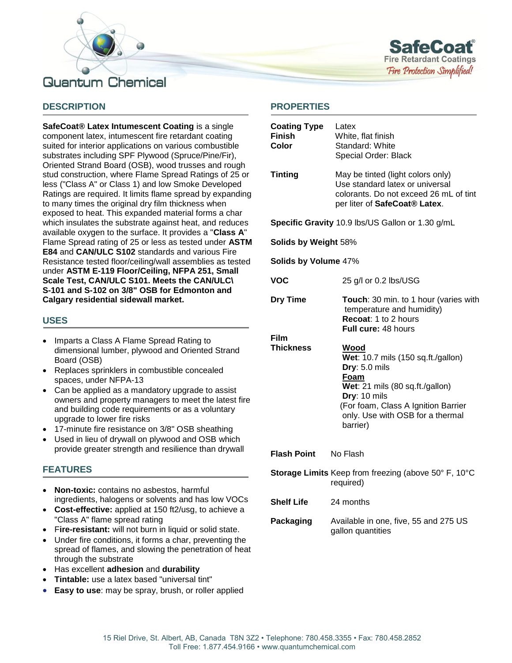



## **DESCRIPTION**

**SafeCoat® Latex Intumescent Coating** is a single component latex, intumescent fire retardant coating suited for interior applications on various combustible substrates including SPF Plywood (Spruce/Pine/Fir), Oriented Strand Board (OSB), wood trusses and rough stud construction, where Flame Spread Ratings of 25 or less ("Class A" or Class 1) and low Smoke Developed Ratings are required. It limits flame spread by expanding to many times the original dry film thickness when exposed to heat. This expanded material forms a char which insulates the substrate against heat, and reduces available oxygen to the surface. It provides a "**Class A**" Flame Spread rating of 25 or less as tested under **ASTM E84** and **CAN/ULC S102** standards and various Fire Resistance tested floor/ceiling/wall assemblies as tested under **ASTM E-119 Floor/Ceiling, NFPA 251, Small Scale Test, CAN/ULC S101. Meets the CAN/ULC\ S-101 and S-102 on 3/8" OSB for Edmonton and Calgary residential sidewall market.**

#### **USES**

- Imparts a Class A Flame Spread Rating to dimensional lumber, plywood and Oriented Strand Board (OSB)
- Replaces sprinklers in combustible concealed spaces, under NFPA-13
- Can be applied as a mandatory upgrade to assist owners and property managers to meet the latest fire and building code requirements or as a voluntary upgrade to lower fire risks
- 17-minute fire resistance on 3/8" OSB sheathing
- Used in lieu of drywall on plywood and OSB which provide greater strength and resilience than drywall

#### **FEATURES**

- **Non-toxic:** contains no asbestos, harmful ingredients, halogens or solvents and has low VOCs
- **Cost-effective:** applied at 150 ft2/usg, to achieve a "Class A" flame spread rating
- F**ire-resistant:** will not burn in liquid or solid state.
- Under fire conditions, it forms a char, preventing the spread of flames, and slowing the penetration of heat through the substrate
- Has excellent **adhesion** and **durability**
- **Tintable:** use a latex based "universal tint"
- **Easy to use**: may be spray, brush, or roller applied

#### **PROPERTIES**

| <b>Coating Type</b><br><b>Finish</b><br>Color                     | Latex<br>White, flat finish<br>Standard: White<br>Special Order: Black                                                                                                                                        |  |  |  |
|-------------------------------------------------------------------|---------------------------------------------------------------------------------------------------------------------------------------------------------------------------------------------------------------|--|--|--|
| <b>Tinting</b>                                                    | May be tinted (light colors only)<br>Use standard latex or universal<br>colorants. Do not exceed 26 mL of tint<br>per liter of SafeCoat® Latex.                                                               |  |  |  |
| Specific Gravity 10.9 lbs/US Gallon or 1.30 g/mL                  |                                                                                                                                                                                                               |  |  |  |
| Solids by Weight 58%                                              |                                                                                                                                                                                                               |  |  |  |
| Solids by Volume 47%                                              |                                                                                                                                                                                                               |  |  |  |
| VOC                                                               | 25 g/l or 0.2 lbs/USG                                                                                                                                                                                         |  |  |  |
| <b>Dry Time</b>                                                   | Touch: 30 min. to 1 hour (varies with<br>temperature and humidity)<br>Recoat: 1 to 2 hours<br>Full cure: 48 hours                                                                                             |  |  |  |
| Film<br><b>Thickness</b>                                          | Wood<br>Wet: 10.7 mils (150 sq.ft./gallon)<br>Dry: 5.0 mils<br>Foam<br>Wet: 21 mils (80 sq.ft./gallon)<br>Dry: 10 mils<br>(For foam, Class A Ignition Barrier<br>only. Use with OSB for a thermal<br>barrier) |  |  |  |
| <b>Flash Point</b>                                                | No Flash                                                                                                                                                                                                      |  |  |  |
| Storage Limits Keep from freezing (above 50° F, 10°C<br>required) |                                                                                                                                                                                                               |  |  |  |
| <b>Shelf Life</b>                                                 | 24 months                                                                                                                                                                                                     |  |  |  |
| Packaging                                                         | Available in one, five, 55 and 275 US<br>gallon quantities                                                                                                                                                    |  |  |  |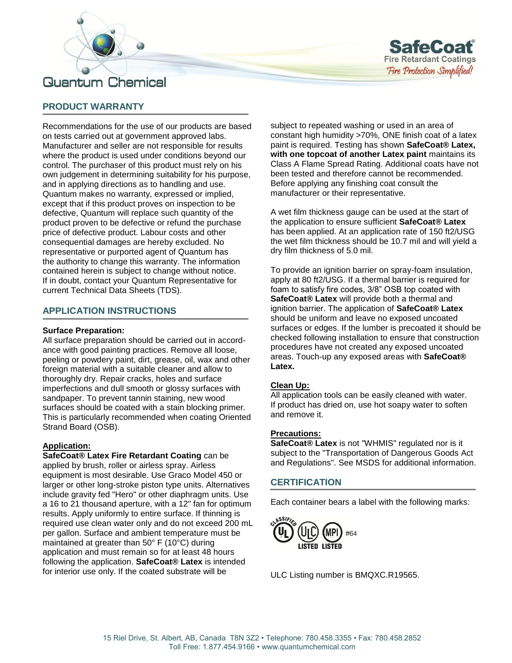



## **PRODUCT WARRANTY**

Recommendations for the use of our products are based on tests carried out at government approved labs. Manufacturer and seller are not responsible for results where the product is used under conditions beyond our control. The purchaser of this product must rely on his own judgement in determining suitability for his purpose, and in applying directions as to handling and use. Quantum makes no warranty, expressed or implied, except that if this product proves on inspection to be defective, Quantum will replace such quantity of the product proven to be defective or refund the purchase price of defective product. Labour costs and other consequential damages are hereby excluded. No representative or purported agent of Quantum has the authority to change this warranty. The information contained herein is subject to change without notice. If in doubt, contact your Quantum Representative for current Technical Data Sheets (TDS).

### **APPLICATION INSTRUCTIONS**

#### **Surface Preparation:**

All surface preparation should be carried out in accordance with good painting practices. Remove all loose, peeling or powdery paint, dirt, grease, oil, wax and other foreign material with a suitable cleaner and allow to thoroughly dry. Repair cracks, holes and surface imperfections and dull smooth or glossy surfaces with sandpaper. To prevent tannin staining, new wood surfaces should be coated with a stain blocking primer. This is particularly recommended when coating Oriented Strand Board (OSB).

#### **Application:**

**SafeCoat® Latex Fire Retardant Coating** can be applied by brush, roller or airless spray. Airless equipment is most desirable. Use Graco Model 450 or larger or other long-stroke piston type units. Alternatives include gravity fed "Hero" or other diaphragm units. Use a 16 to 21 thousand aperture, with a 12" fan for optimum results. Apply uniformly to entire surface. If thinning is required use clean water only and do not exceed 200 mL per gallon. Surface and ambient temperature must be maintained at greater than 50° F (10°C) during application and must remain so for at least 48 hours following the application. **SafeCoat® Latex** is intended for interior use only. If the coated substrate will be

subject to repeated washing or used in an area of constant high humidity >70%, ONE finish coat of a latex paint is required. Testing has shown **SafeCoat® Latex, with one topcoat of another Latex paint** maintains its Class A Flame Spread Rating. Additional coats have not been tested and therefore cannot be recommended. Before applying any finishing coat consult the manufacturer or their representative.

A wet film thickness gauge can be used at the start of the application to ensure sufficient **SafeCoat® Latex** has been applied. At an application rate of 150 ft2/USG the wet film thickness should be 10.7 mil and will yield a dry film thickness of 5.0 mil.

To provide an ignition barrier on spray-foam insulation, apply at 80 ft2/USG. If a thermal barrier is required for foam to satisfy fire codes, 3/8" OSB top coated with **SafeCoat® Latex** will provide both a thermal and ignition barrier. The application of **SafeCoat® Latex** should be uniform and leave no exposed uncoated surfaces or edges. If the lumber is precoated it should be checked following installation to ensure that construction procedures have not created any exposed uncoated areas. Touch-up any exposed areas with **SafeCoat® Latex.**

#### **Clean Up:**

All application tools can be easily cleaned with water. If product has dried on, use hot soapy water to soften and remove it.

#### **Precautions:**

**SafeCoat® Latex** is not "WHMIS" regulated nor is it subject to the "Transportation of Dangerous Goods Act and Regulations". See MSDS for additional information.

#### **CERTIFICATION**

Each container bears a label with the following marks:



ULC Listing number is BMQXC.R19565.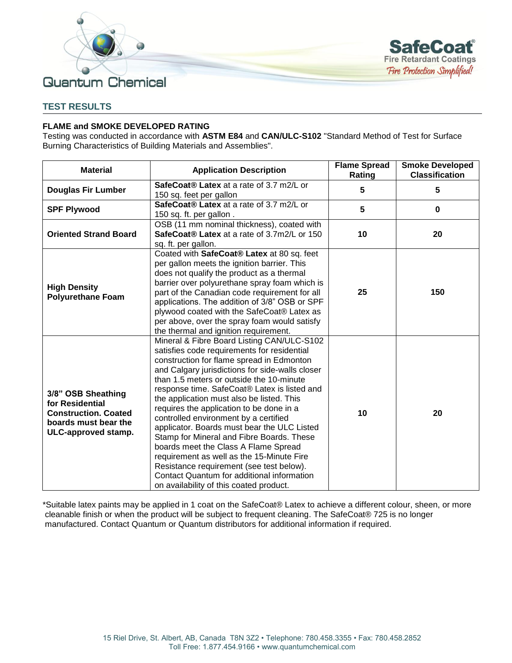



## **TEST RESULTS**

#### **FLAME and SMOKE DEVELOPED RATING**

Testing was conducted in accordance with **ASTM E84** and **CAN/ULC-S102** "Standard Method of Test for Surface Burning Characteristics of Building Materials and Assemblies".

| <b>Material</b>                                                                                                     | <b>Application Description</b>                                                                                                                                                                                                                                                                                                                                                                                                                                                                                                                                                                                                                                                                                                                | <b>Flame Spread</b><br>Rating | <b>Smoke Developed</b><br><b>Classification</b> |
|---------------------------------------------------------------------------------------------------------------------|-----------------------------------------------------------------------------------------------------------------------------------------------------------------------------------------------------------------------------------------------------------------------------------------------------------------------------------------------------------------------------------------------------------------------------------------------------------------------------------------------------------------------------------------------------------------------------------------------------------------------------------------------------------------------------------------------------------------------------------------------|-------------------------------|-------------------------------------------------|
| <b>Douglas Fir Lumber</b>                                                                                           | SafeCoat® Latex at a rate of 3.7 m2/L or<br>150 sq. feet per gallon                                                                                                                                                                                                                                                                                                                                                                                                                                                                                                                                                                                                                                                                           | 5                             | 5                                               |
| <b>SPF Plywood</b>                                                                                                  | SafeCoat® Latex at a rate of 3.7 m2/L or<br>150 sq. ft. per gallon.                                                                                                                                                                                                                                                                                                                                                                                                                                                                                                                                                                                                                                                                           | 5                             | 0                                               |
| <b>Oriented Strand Board</b>                                                                                        | OSB (11 mm nominal thickness), coated with<br>SafeCoat® Latex at a rate of 3.7m2/L or 150<br>sq. ft. per gallon.                                                                                                                                                                                                                                                                                                                                                                                                                                                                                                                                                                                                                              | 10                            | 20                                              |
| <b>High Density</b><br><b>Polyurethane Foam</b>                                                                     | Coated with SafeCoat® Latex at 80 sq. feet<br>per gallon meets the ignition barrier. This<br>does not qualify the product as a thermal<br>barrier over polyurethane spray foam which is<br>part of the Canadian code requirement for all<br>applications. The addition of 3/8" OSB or SPF<br>plywood coated with the SafeCoat® Latex as<br>per above, over the spray foam would satisfy<br>the thermal and ignition requirement.                                                                                                                                                                                                                                                                                                              | 25                            | 150                                             |
| 3/8" OSB Sheathing<br>for Residential<br><b>Construction. Coated</b><br>boards must bear the<br>ULC-approved stamp. | Mineral & Fibre Board Listing CAN/ULC-S102<br>satisfies code requirements for residential<br>construction for flame spread in Edmonton<br>and Calgary jurisdictions for side-walls closer<br>than 1.5 meters or outside the 10-minute<br>response time. SafeCoat® Latex is listed and<br>the application must also be listed. This<br>requires the application to be done in a<br>controlled environment by a certified<br>applicator. Boards must bear the ULC Listed<br>Stamp for Mineral and Fibre Boards. These<br>boards meet the Class A Flame Spread<br>requirement as well as the 15-Minute Fire<br>Resistance requirement (see test below).<br>Contact Quantum for additional information<br>on availability of this coated product. | 10                            | 20                                              |

\*Suitable latex paints may be applied in 1 coat on the SafeCoat® Latex to achieve a different colour, sheen, or more cleanable finish or when the product will be subject to frequent cleaning. The SafeCoat® 725 is no longer manufactured. Contact Quantum or Quantum distributors for additional information if required.